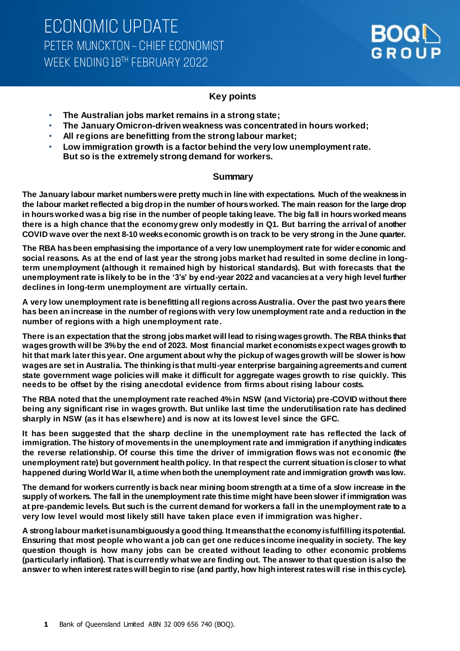

## **Key points**

- **The Australian jobs market remains in a strong state;**
- **The January Omicron-driven weakness was concentrated in hours worked;**
- **All regions are benefitting from the strong labour market;**
- **Low immigration growth is a factor behind the very low unemployment rate. But so is the extremely strong demand for workers.**

### **Summary**

**The January labour market numbers were pretty much in line with expectations. Much of the weakness in the labour market reflected a big drop in the number of hours worked. The main reason for the large drop in hours worked was a big rise in the number of people taking leave. The big fall in hours worked means there is a high chance that the economy grew only modestly in Q1. But barring the arrival of another COVID wave over the next 8-10 weeks economic growth is on track to be very strong in the June quarter.** 

**The RBA has been emphasising the importance of a very low unemployment rate for wider economic and social reasons. As at the end of last year the strong jobs market had resulted in some decline in longterm unemployment (although it remained high by historical standards). But with forecasts that the unemployment rate is likely to be in the '3's' by end-year 2022 and vacancies at a very high level further declines in long-term unemployment are virtually certain.**

**A very low unemployment rate is benefitting all regions across Australia. Over the past two years there has been an increase in the number of regions with very low unemployment rate and a reduction in the number of regions with a high unemployment rate.**

**There is an expectation that the strong jobs market will lead to rising wages growth. The RBA thinks that wages growth will be 3% by the end of 2023. Most financial market economists expect wages growth to hit that mark later this year. One argument about why the pickup of wages growth will be slower is how wages are set in Australia. The thinking is that multi-year enterprise bargaining agreements and current state government wage policies will make it difficult for aggregate wages growth to rise quickly. This needs to be offset by the rising anecdotal evidence from firms about rising labour costs.** 

**The RBA noted that the unemployment rate reached 4% in NSW (and Victoria) pre-COVID without there being any significant rise in wages growth. But unlike last time the underutilisation rate has declined sharply in NSW (as it has elsewhere) and is now at its lowest level since the GFC.** 

**It has been suggested that the sharp decline in the unemployment rate has reflected the lack of immigration. The history of movements in the unemployment rate and immigration if anything indicates the reverse relationship. Of course this time the driver of immigration flows was not economic (the unemployment rate) but government health policy. In that respect the current situation is closer to what happened during World War II, a time when both the unemployment rate and immigration growth was low.** 

**The demand for workers currently is back near mining boom strength at a time of a slow increase in the supply of workers. The fall in the unemployment rate this time might have been slower if immigration was at pre-pandemic levels. But such is the current demand for workers a fall in the unemployment rate to a very low level would most likely still have taken place even if immigration was higher.** 

**A strong labour market is unambiguously a good thing. It means that the economy is fulfilling its potential. Ensuring that most people who want a job can get one reduces income inequality in society. The key question though is how many jobs can be created without leading to other economic problems (particularly inflation). That is currently what we are finding out. The answer to that question is also the answer to when interest rates will begin to rise (and partly, how high interest rates will rise in this cycle).**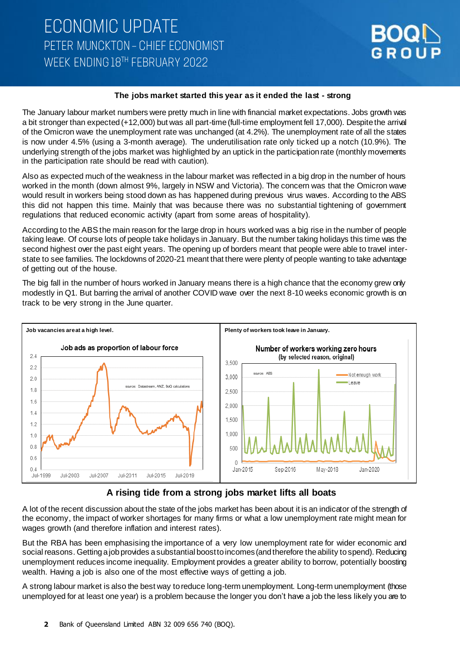

#### **The jobs market started this year as it ended the last - strong**

The January labour market numbers were pretty much in line with financial market expectations. Jobs growth was a bit stronger than expected (+12,000) but was all part-time (full-time employment fell 17,000). Despite the arrival of the Omicron wave the unemployment rate was unchanged (at 4.2%). The unemployment rate of all the states is now under 4.5% (using a 3-month average). The underutilisation rate only ticked up a notch (10.9%). The underlying strength of the jobs market was highlighted by an uptick in the participation rate (monthly movements in the participation rate should be read with caution).

Also as expected much of the weakness in the labour market was reflected in a big drop in the number of hours worked in the month (down almost 9%, largely in NSW and Victoria). The concern was that the Omicron wave would result in workers being stood down as has happened during previous virus waves. According to the ABS this did not happen this time. Mainly that was because there was no substantial tightening of government regulations that reduced economic activity (apart from some areas of hospitality).

According to the ABS the main reason for the large drop in hours worked was a big rise in the number of people taking leave. Of course lots of people take holidays in January. But the number taking holidays this time was the second highest over the past eight years. The opening up of borders meant that people were able to travel interstate to see families. The lockdowns of 2020-21 meant that there were plenty of people wanting to take advantage of getting out of the house.

The big fall in the number of hours worked in January means there is a high chance that the economy grew only modestly in Q1. But barring the arrival of another COVID wave over the next 8-10 weeks economic growth is on track to be very strong in the June quarter.



### **A rising tide from a strong jobs market lifts all boats**

A lot of the recent discussion about the state of the jobs market has been about it is an indicator of the strength of the economy, the impact of worker shortages for many firms or what a low unemployment rate might mean for wages growth (and therefore inflation and interest rates).

But the RBA has been emphasising the importance of a very low unemployment rate for wider economic and social reasons. Getting a job provides a substantial boost to incomes (and therefore the ability to spend). Reducing unemployment reduces income inequality. Employment provides a greater ability to borrow, potentially boosting wealth. Having a job is also one of the most effective ways of getting a job.

A strong labour market is also the best way to reduce long-term unemployment. Long-term unemployment (those unemployed for at least one year) is a problem because the longer you don't have a job the less likely you are to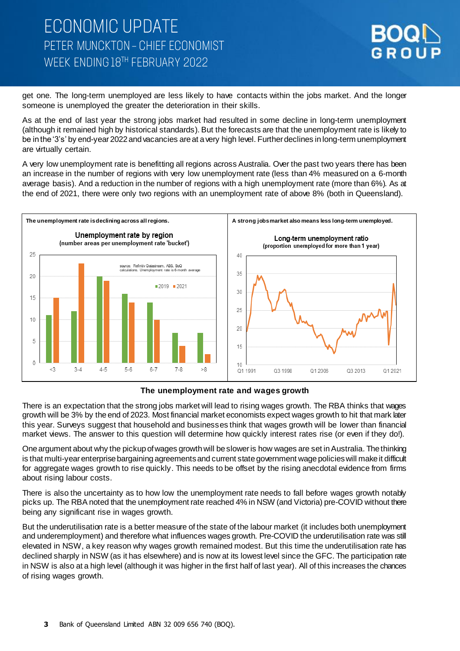

get one. The long-term unemployed are less likely to have contacts within the jobs market. And the longer someone is unemployed the greater the deterioration in their skills.

As at the end of last year the strong jobs market had resulted in some decline in long-term unemployment (although it remained high by historical standards). But the forecasts are that the unemployment rate is likely to be in the '3's' by end-year 2022 and vacancies are at a very high level. Further declines in long-term unemployment are virtually certain.

A very low unemployment rate is benefitting all regions across Australia. Over the past two years there has been an increase in the number of regions with very low unemployment rate (less than 4% measured on a 6-month average basis). And a reduction in the number of regions with a high unemployment rate (more than 6%). As at the end of 2021, there were only two regions with an unemployment rate of above 8% (both in Queensland).



#### **The unemployment rate and wages growth**

There is an expectation that the strong jobs market will lead to rising wages growth. The RBA thinks that wages growth will be 3% by the end of 2023. Most financial market economists expect wages growth to hit that mark later this year. Surveys suggest that household and businesses think that wages growth will be lower than financial market views. The answer to this question will determine how quickly interest rates rise (or even if they do!).

One argument about why the pickup of wages growth will be slower is how wages are set in Australia. The thinking is that multi-year enterprise bargaining agreements and current state government wage policies will make it difficult for aggregate wages growth to rise quickly. This needs to be offset by the rising anecdotal evidence from firms about rising labour costs.

There is also the uncertainty as to how low the unemployment rate needs to fall before wages growth notably picks up. The RBA noted that the unemployment rate reached 4% in NSW (and Victoria) pre-COVID without there being any significant rise in wages growth.

But the underutilisation rate is a better measure of the state of the labour market (it includes both unemployment and underemployment) and therefore what influences wages growth. Pre-COVID the underutilisation rate was still elevated in NSW, a key reason why wages growth remained modest. But this time the underutilisation rate has declined sharply in NSW (as it has elsewhere) and is now at its lowest level since the GFC. The participation rate in NSW is also at a high level (although it was higher in the first half of last year). All of this increases the chances of rising wages growth.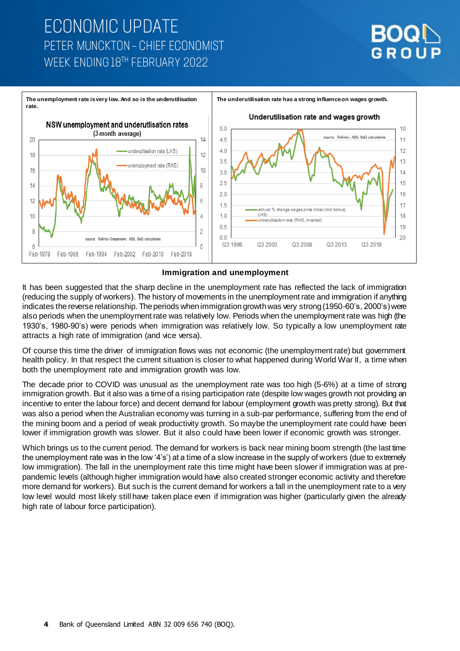# **ECONOMIC UPDATE** PETER MUNCKTON - CHIEF ECONOMIST WEEK ENDING 18TH FEBRUARY 2022





#### **Immigration and unemployment**

It has been suggested that the sharp decline in the unemployment rate has reflected the lack of immigration (reducing the supply of workers). The history of movements in the unemployment rate and immigration if anything indicates the reverse relationship. The periods when immigration growth was very strong (1950-60's, 2000's) were also periods when the unemployment rate was relatively low. Periods when the unemployment rate was high (the 1930's, 1980-90's) were periods when immigration was relatively low. So typically a low unemployment rate attracts a high rate of immigration (and vice versa).

Of course this time the driver of immigration flows was not economic (the unemployment rate) but government health policy. In that respect the current situation is closer to what happened during World War II, a time when both the unemployment rate and immigration growth was low.

The decade prior to COVID was unusual as the unemployment rate was too high (5-6%) at a time of strong immigration growth. But it also was a time of a rising participation rate (despite low wages growth not providing an incentive to enter the labour force) and decent demand for labour (employment growth was pretty strong). But that was also a period when the Australian economy was turning in a sub-par performance, suffering from the end of the mining boom and a period of weak productivity growth. So maybe the unemployment rate could have been lower if immigration growth was slower. But it also could have been lower if economic growth was stronger.

Which brings us to the current period. The demand for workers is back near mining boom strength (the last time the unemployment rate was in the low '4's') at a time of a slow increase in the supply of workers (due to extremely low immigration). The fall in the unemployment rate this time might have been slower if immigration was at prepandemic levels (although higher immigration would have also created stronger economic activity and therefore more demand for workers). But such is the current demand for workers a fall in the unemployment rate to a very low level would most likely still have taken place even if immigration was higher (particularly given the already high rate of labour force participation).